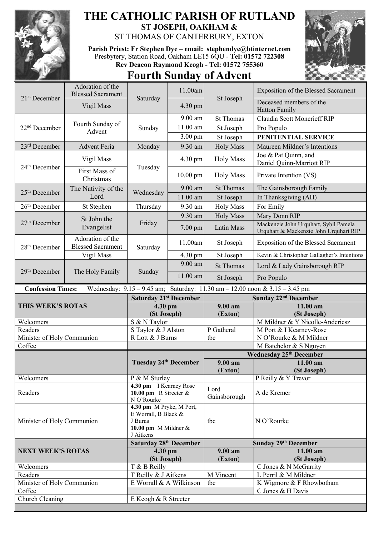

## **THE CATHOLIC PARISH OF RUTLAND ST JOSEPH, OAKHAM &**

ST THOMAS OF CANTERBURY, EXTON

**Parish Priest: Fr Stephen Dye** – **[email: stephendye@btinternet.com](mailto:email:%20%20stephendye@btinternet.com)** Presbytery, Station Road, Oakham LE15 6QU - **Tel: 01572 722308 Rev Deacon Raymond Keogh - Tel: 01572 755360**

## **Fourth Sunday of Advent**



|                            | Adoration of the<br><b>Blessed Sacrament</b> |                                                                                                  | 11.00am    |                      | Exposition of the Blessed Sacrament                                             |
|----------------------------|----------------------------------------------|--------------------------------------------------------------------------------------------------|------------|----------------------|---------------------------------------------------------------------------------|
| 21 <sup>st</sup> December  | Vigil Mass                                   | Saturday                                                                                         | 4.30 pm    | St Joseph            | Deceased members of the<br><b>Hatton Family</b>                                 |
| 22 <sup>nd</sup> December  | Fourth Sunday of<br>Advent                   | Sunday                                                                                           | 9.00 am    | <b>St Thomas</b>     | Claudia Scott Moncrieff RIP                                                     |
|                            |                                              |                                                                                                  | 11.00 am   | St Joseph            | Pro Populo                                                                      |
|                            |                                              |                                                                                                  | $3.00$ pm  | St Joseph            | PENITENTIAL SERVICE                                                             |
| 23rd December              | <b>Advent Feria</b>                          |                                                                                                  | 9.30 am    | <b>Holy Mass</b>     | Maureen Mildner's Intentions                                                    |
| 24 <sup>th</sup> December  | Vigil Mass                                   | Monday<br>Tuesday                                                                                | 4.30 pm    | <b>Holy Mass</b>     | Joe & Pat Quinn, and<br>Daniel Quinn-Marriott RIP                               |
|                            | First Mass of<br>Christmas                   |                                                                                                  | $10.00$ pm | <b>Holy Mass</b>     | Private Intention (VS)                                                          |
| $25th$ December            | The Nativity of the<br>Lord                  | Wednesday                                                                                        | 9.00 am    | <b>St Thomas</b>     | The Gainsborough Family                                                         |
|                            |                                              |                                                                                                  | 11.00 am   | St Joseph            | In Thanksgiving (AH)                                                            |
| 26 <sup>th</sup> December  | St Stephen                                   | Thursday                                                                                         | 9.30 am    | <b>Holy Mass</b>     | For Emily                                                                       |
| $27th$ December            | St John the<br>Evangelist                    | Friday                                                                                           | 9.30 am    | <b>Holy Mass</b>     | Mary Donn RIP                                                                   |
|                            |                                              |                                                                                                  | 7.00 pm    | Latin Mass           | Mackenzie John Urquhart, Sybil Pamela<br>Urquhart & Mackenzie John Urquhart RIP |
| 28 <sup>th</sup> December  | Adoration of the<br><b>Blessed Sacrament</b> | Saturday                                                                                         | 11.00am    | St Joseph            | Exposition of the Blessed Sacrament                                             |
|                            | Vigil Mass                                   |                                                                                                  | 4.30 pm    | St Joseph            | Kevin & Christopher Gallagher's Intentions                                      |
| 29th December              | The Holy Family                              | Sunday                                                                                           | 9.00 am    | <b>St Thomas</b>     | Lord & Lady Gainsborough RIP                                                    |
|                            |                                              |                                                                                                  | 11.00 am   | St Joseph            | Pro Populo                                                                      |
| <b>Confession Times:</b>   |                                              |                                                                                                  |            |                      | Wednesday: 9.15 - 9.45 am; Saturday: 11.30 am - 12.00 noon & 3.15 - 3.45 pm     |
|                            |                                              |                                                                                                  |            |                      |                                                                                 |
|                            |                                              | <b>Saturday 21st December</b>                                                                    |            |                      | Sunday 22 <sup>nd</sup> December                                                |
| THIS WEEK'S ROTAS          |                                              | 4.30 pm                                                                                          |            | 9.00 am              | 11.00 am                                                                        |
|                            |                                              | (St Joseph)                                                                                      |            | (Exton)              | (St Joseph)                                                                     |
| Welcomers                  |                                              | S & N Taylor                                                                                     |            |                      | M Mildner & Y Nicolle-Anderiesz                                                 |
| Readers                    |                                              | S Taylor & J Alston                                                                              |            | P Gatheral           | M Port & I Kearney-Rose                                                         |
| Minister of Holy Communion |                                              | R Lott & J Burns                                                                                 |            | tbc                  | N O'Rourke & M Mildner                                                          |
| Coffee                     |                                              |                                                                                                  |            |                      | M Batchelor & S Nguyen                                                          |
|                            |                                              | <b>Tuesday 24th December</b>                                                                     |            | 9.00 am              | <b>Wednesday 25th December</b><br>11.00 am                                      |
|                            |                                              |                                                                                                  |            | (Exton)              | (St Joseph)                                                                     |
| Welcomers                  |                                              | P & M Sturley                                                                                    |            |                      | P Reilly & Y Trevor                                                             |
| Readers                    |                                              | 4.30 pm I Kearney Rose<br>10.00 pm R Streeter $&$<br>N O'Rourke                                  |            | Lord<br>Gainsborough | A de Kremer                                                                     |
| Minister of Holy Communion |                                              | 4.30 pm M Pryke, M Port,<br>E Worrall, B Black &<br>J Burns<br>10.00 pm M Mildner &<br>J Aitkens |            | tbc                  | N O'Rourke                                                                      |
|                            |                                              | <b>Saturday 28th December</b>                                                                    |            |                      | Sunday 29th December                                                            |
| <b>NEXT WEEK'S ROTAS</b>   |                                              | 4.30 pm                                                                                          |            | $9.00 a$ m           | 11.00 am                                                                        |
|                            |                                              | (St Joseph)                                                                                      |            | (Exton)              | (St Joseph)                                                                     |
| Welcomers                  |                                              | T & B Reilly                                                                                     |            |                      | C Jones & N McGarrity                                                           |
| Readers                    |                                              | T Reilly & J Aitkens                                                                             |            | M Vincent            | L Perril & M Mildner                                                            |
| Minister of Holy Communion |                                              | E Worrall & A Wilkinson                                                                          |            | tbc                  | K Wigmore & F Rhowbotham                                                        |
| Coffee<br>Church Cleaning  |                                              | E Keogh & R Streeter                                                                             |            |                      | C Jones & H Davis                                                               |